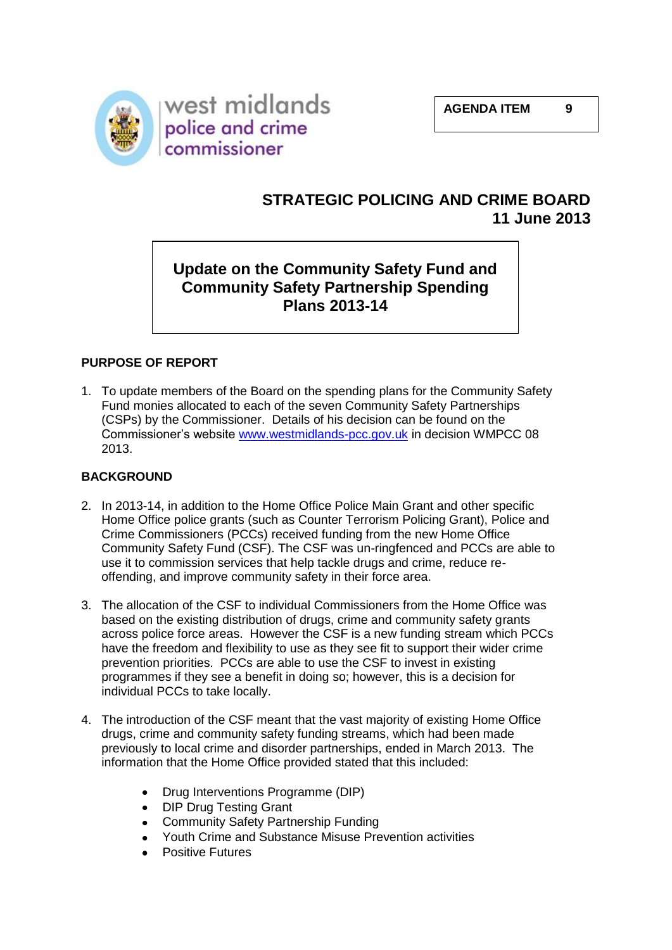

# **STRATEGIC POLICING AND CRIME BOARD 11 June 2013**

# **Update on the Community Safety Fund and Community Safety Partnership Spending Plans 2013-14**

### **PURPOSE OF REPORT**

1. To update members of the Board on the spending plans for the Community Safety Fund monies allocated to each of the seven Community Safety Partnerships (CSPs) by the Commissioner. Details of his decision can be found on the Commissioner's website [www.westmidlands-pcc.gov.uk](http://www.westmidlands-pcc.gov.uk/) in decision WMPCC 08 2013.

### **BACKGROUND**

- 2. In 2013-14, in addition to the Home Office Police Main Grant and other specific Home Office police grants (such as Counter Terrorism Policing Grant), Police and Crime Commissioners (PCCs) received funding from the new Home Office Community Safety Fund (CSF). The CSF was un-ringfenced and PCCs are able to use it to commission services that help tackle drugs and crime, reduce reoffending, and improve community safety in their force area.
- 3. The allocation of the CSF to individual Commissioners from the Home Office was based on the existing distribution of drugs, crime and community safety grants across police force areas. However the CSF is a new funding stream which PCCs have the freedom and flexibility to use as they see fit to support their wider crime prevention priorities. PCCs are able to use the CSF to invest in existing programmes if they see a benefit in doing so; however, this is a decision for individual PCCs to take locally.
- 4. The introduction of the CSF meant that the vast majority of existing Home Office drugs, crime and community safety funding streams, which had been made previously to local crime and disorder partnerships, ended in March 2013. The information that the Home Office provided stated that this included:
	- Drug Interventions Programme (DIP)
	- DIP Drug Testing Grant
	- Community Safety Partnership Funding
	- Youth Crime and Substance Misuse Prevention activities
	- Positive Futures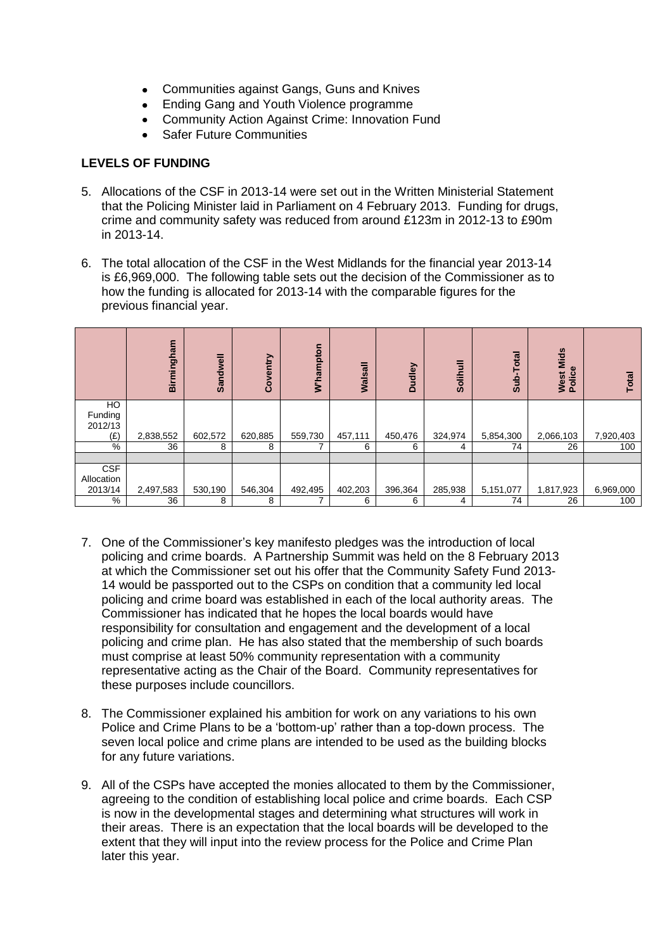- Communities against Gangs, Guns and Knives
- Ending Gang and Youth Violence programme
- Community Action Against Crime: Innovation Fund
- Safer Future Communities  $\blacksquare$

#### **LEVELS OF FUNDING**

- 5. Allocations of the CSF in 2013-14 were set out in the Written Ministerial Statement that the Policing Minister laid in Parliament on 4 February 2013. Funding for drugs, crime and community safety was reduced from around £123m in 2012-13 to £90m in 2013-14.
- 6. The total allocation of the CSF in the West Midlands for the financial year 2013-14 is £6,969,000. The following table sets out the decision of the Commissioner as to how the funding is allocated for 2013-14 with the comparable figures for the previous financial year.

|               | Birmingham | Sandwell | Coventry | W'hampton | <b>Walsall</b> | Dudley  | Solihull | -Total<br><b>Sub</b> | West Mids<br>Police | Total     |
|---------------|------------|----------|----------|-----------|----------------|---------|----------|----------------------|---------------------|-----------|
| HO<br>Funding |            |          |          |           |                |         |          |                      |                     |           |
| 2012/13       |            |          |          |           |                |         |          |                      |                     |           |
| (E)           | 2,838,552  | 602,572  | 620,885  | 559,730   | 457,111        | 450,476 | 324,974  | 5,854,300            | 2,066,103           | 7,920,403 |
| %             | 36         | 8        | 8        |           | 6              | 6       | 4        | 74                   | 26                  | 100       |
|               |            |          |          |           |                |         |          |                      |                     |           |
| <b>CSF</b>    |            |          |          |           |                |         |          |                      |                     |           |
| Allocation    |            |          |          |           |                |         |          |                      |                     |           |
| 2013/14       | 2,497,583  | 530,190  | 546,304  | 492,495   | 402,203        | 396,364 | 285,938  | 5,151,077            | 1,817,923           | 6,969,000 |
| %             | 36         | 8        | 8        |           | 6              | 6       | 4        | 74                   | 26                  | 100       |

- 7. One of the Commissioner's key manifesto pledges was the introduction of local policing and crime boards. A Partnership Summit was held on the 8 February 2013 at which the Commissioner set out his offer that the Community Safety Fund 2013- 14 would be passported out to the CSPs on condition that a community led local policing and crime board was established in each of the local authority areas. The Commissioner has indicated that he hopes the local boards would have responsibility for consultation and engagement and the development of a local policing and crime plan. He has also stated that the membership of such boards must comprise at least 50% community representation with a community representative acting as the Chair of the Board. Community representatives for these purposes include councillors.
- 8. The Commissioner explained his ambition for work on any variations to his own Police and Crime Plans to be a 'bottom-up' rather than a top-down process. The seven local police and crime plans are intended to be used as the building blocks for any future variations.
- 9. All of the CSPs have accepted the monies allocated to them by the Commissioner, agreeing to the condition of establishing local police and crime boards. Each CSP is now in the developmental stages and determining what structures will work in their areas. There is an expectation that the local boards will be developed to the extent that they will input into the review process for the Police and Crime Plan later this year.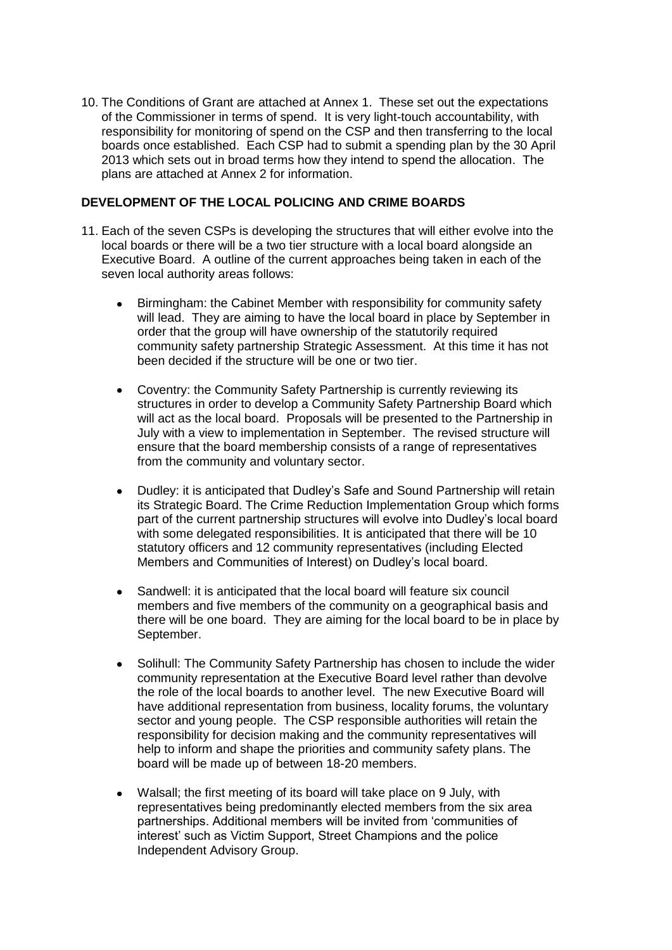10. The Conditions of Grant are attached at Annex 1. These set out the expectations of the Commissioner in terms of spend. It is very light-touch accountability, with responsibility for monitoring of spend on the CSP and then transferring to the local boards once established. Each CSP had to submit a spending plan by the 30 April 2013 which sets out in broad terms how they intend to spend the allocation. The plans are attached at Annex 2 for information.

#### **DEVELOPMENT OF THE LOCAL POLICING AND CRIME BOARDS**

- 11. Each of the seven CSPs is developing the structures that will either evolve into the local boards or there will be a two tier structure with a local board alongside an Executive Board. A outline of the current approaches being taken in each of the seven local authority areas follows:
	- Birmingham: the Cabinet Member with responsibility for community safety will lead. They are aiming to have the local board in place by September in order that the group will have ownership of the statutorily required community safety partnership Strategic Assessment. At this time it has not been decided if the structure will be one or two tier.
	- Coventry: the Community Safety Partnership is currently reviewing its structures in order to develop a Community Safety Partnership Board which will act as the local board. Proposals will be presented to the Partnership in July with a view to implementation in September. The revised structure will ensure that the board membership consists of a range of representatives from the community and voluntary sector.
	- Dudley: it is anticipated that Dudley's Safe and Sound Partnership will retain its Strategic Board. The Crime Reduction Implementation Group which forms part of the current partnership structures will evolve into Dudley's local board with some delegated responsibilities. It is anticipated that there will be 10 statutory officers and 12 community representatives (including Elected Members and Communities of Interest) on Dudley's local board.
	- Sandwell: it is anticipated that the local board will feature six council members and five members of the community on a geographical basis and there will be one board. They are aiming for the local board to be in place by September.
	- Solihull: The Community Safety Partnership has chosen to include the wider  $\bullet$ community representation at the Executive Board level rather than devolve the role of the local boards to another level. The new Executive Board will have additional representation from business, locality forums, the voluntary sector and young people. The CSP responsible authorities will retain the responsibility for decision making and the community representatives will help to inform and shape the priorities and community safety plans. The board will be made up of between 18-20 members.
	- Walsall; the first meeting of its board will take place on 9 July, with representatives being predominantly elected members from the six area partnerships. Additional members will be invited from 'communities of interest' such as Victim Support, Street Champions and the police Independent Advisory Group.